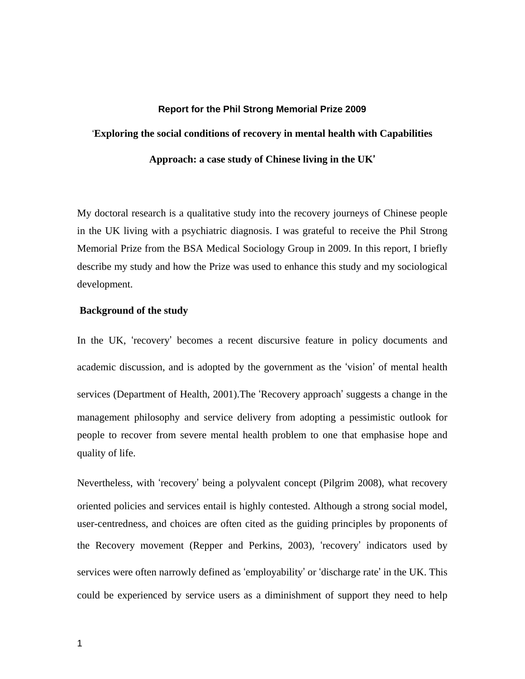#### **Report for the Phil Strong Memorial Prize 2009**

# '**Exploring the social conditions of recovery in mental health with Capabilities**

**Approach: a case study of Chinese living in the UK**'

My doctoral research is a qualitative study into the recovery journeys of Chinese people in the UK living with a psychiatric diagnosis. I was grateful to receive the Phil Strong Memorial Prize from the BSA Medical Sociology Group in 2009. In this report, I briefly describe my study and how the Prize was used to enhance this study and my sociological development.

## **Background of the study**

In the UK, 'recovery' becomes a recent discursive feature in policy documents and academic discussion, and is adopted by the government as the 'vision' of mental health services (Department of Health, 2001).The 'Recovery approach' suggests a change in the management philosophy and service delivery from adopting a pessimistic outlook for people to recover from severe mental health problem to one that emphasise hope and quality of life.

Nevertheless, with 'recovery' being a polyvalent concept (Pilgrim 2008), what recovery oriented policies and services entail is highly contested. Although a strong social model, user-centredness, and choices are often cited as the guiding principles by proponents of the Recovery movement (Repper and Perkins, 2003), 'recovery' indicators used by services were often narrowly defined as 'employability' or 'discharge rate' in the UK. This could be experienced by service users as a diminishment of support they need to help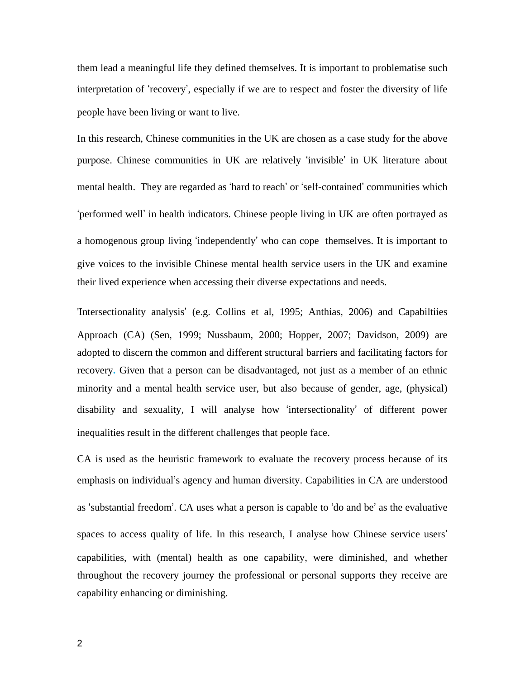them lead a meaningful life they defined themselves. It is important to problematise such interpretation of 'recovery', especially if we are to respect and foster the diversity of life people have been living or want to live.

In this research, Chinese communities in the UK are chosen as a case study for the above purpose. Chinese communities in UK are relatively 'invisible' in UK literature about mental health. They are regarded as 'hard to reach' or 'self-contained' communities which 'performed well' in health indicators. Chinese people living in UK are often portrayed as a homogenous group living 'independently' who can cope themselves. It is important to give voices to the invisible Chinese mental health service users in the UK and examine their lived experience when accessing their diverse expectations and needs.

'Intersectionality analysis' (e.g. Collins et al, 1995; Anthias, 2006) and Capabiltiies Approach (CA) (Sen, 1999; Nussbaum, 2000; Hopper, 2007; Davidson, 2009) are adopted to discern the common and different structural barriers and facilitating factors for recovery**.** Given that a person can be disadvantaged, not just as a member of an ethnic minority and a mental health service user, but also because of gender, age, (physical) disability and sexuality, I will analyse how 'intersectionality' of different power inequalities result in the different challenges that people face.

CA is used as the heuristic framework to evaluate the recovery process because of its emphasis on individual's agency and human diversity. Capabilities in CA are understood as 'substantial freedom'. CA uses what a person is capable to 'do and be' as the evaluative spaces to access quality of life. In this research, I analyse how Chinese service users' capabilities, with (mental) health as one capability, were diminished, and whether throughout the recovery journey the professional or personal supports they receive are capability enhancing or diminishing.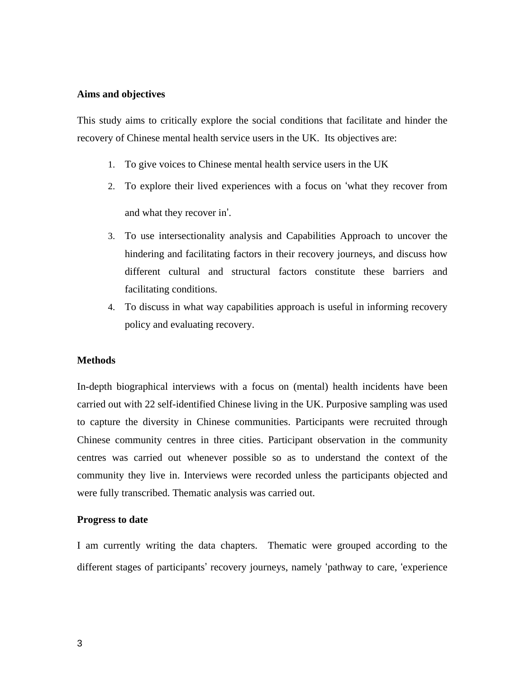# **Aims and objectives**

This study aims to critically explore the social conditions that facilitate and hinder the recovery of Chinese mental health service users in the UK. Its objectives are:

- 1. To give voices to Chinese mental health service users in the UK
- 2. To explore their lived experiences with a focus on 'what they recover from and what they recover in'.
- 3. To use intersectionality analysis and Capabilities Approach to uncover the hindering and facilitating factors in their recovery journeys, and discuss how different cultural and structural factors constitute these barriers and facilitating conditions.
- 4. To discuss in what way capabilities approach is useful in informing recovery policy and evaluating recovery.

# **Methods**

In-depth biographical interviews with a focus on (mental) health incidents have been carried out with 22 self-identified Chinese living in the UK. Purposive sampling was used to capture the diversity in Chinese communities. Participants were recruited through Chinese community centres in three cities. Participant observation in the community centres was carried out whenever possible so as to understand the context of the community they live in. Interviews were recorded unless the participants objected and were fully transcribed. Thematic analysis was carried out.

#### **Progress to date**

I am currently writing the data chapters. Thematic were grouped according to the different stages of participants' recovery journeys, namely 'pathway to care, 'experience